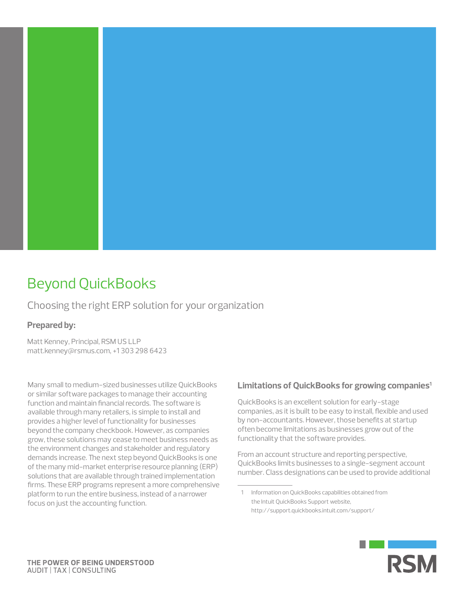

# Beyond QuickBooks

Choosing the right ERP solution for your organization

# **Prepared by:**

Matt Kenney, Principal, RSM US LLP [matt.kenney@rsmus.com](mailto:matt.kenney%40rsmus.com?subject=), +1 303 298 6423

Many small to medium-sized businesses utilize QuickBooks or similar software packages to manage their accounting function and maintain financial records. The software is available through many retailers, is simple to install and provides a higher level of functionality for businesses beyond the company checkbook. However, as companies grow, these solutions may cease to meet business needs as the environment changes and stakeholder and regulatory demands increase. The next step beyond QuickBooks is one of the many mid-market enterprise resource planning (ERP) solutions that are available through trained implementation firms. These ERP programs represent a more comprehensive platform to run the entire business, instead of a narrower focus on just the accounting function.

# **Limitations of QuickBooks for growing companies1**

QuickBooks is an excellent solution for early-stage companies, as it is built to be easy to install, flexible and used by non-accountants. However, those benefits at startup often become limitations as businesses grow out of the functionality that the software provides.

From an account structure and reporting perspective, QuickBooks limits businesses to a single-segment account number. Class designations can be used to provide additional

<sup>1</sup> Information on QuickBooks capabilities obtained from the Intuit QuickBooks Support website, <http://support.quickbooks.intuit.com/support/>

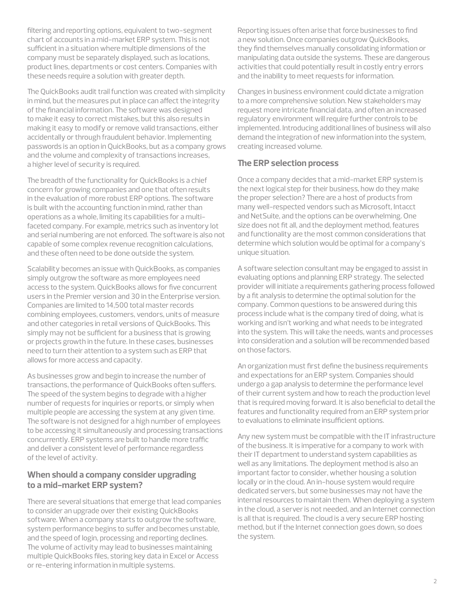filtering and reporting options, equivalent to two-segment chart of accounts in a mid-market ERP system. This is not sufficient in a situation where multiple dimensions of the company must be separately displayed, such as locations, product lines, departments or cost centers. Companies with these needs require a solution with greater depth.

The QuickBooks audit trail function was created with simplicity in mind, but the measures put in place can affect the integrity of the financial information. The software was designed to make it easy to correct mistakes, but this also results in making it easy to modify or remove valid transactions, either accidentally or through fraudulent behavior. Implementing passwords is an option in QuickBooks, but as a company grows and the volume and complexity of transactions increases, a higher level of security is required.

The breadth of the functionality for QuickBooks is a chief concern for growing companies and one that often results in the evaluation of more robust ERP options. The software is built with the accounting function in mind, rather than operations as a whole, limiting its capabilities for a multifaceted company. For example, metrics such as inventory lot and serial numbering are not enforced. The software is also not capable of some complex revenue recognition calculations, and these often need to be done outside the system.

Scalability becomes an issue with QuickBooks, as companies simply outgrow the software as more employees need access to the system. QuickBooks allows for five concurrent users in the Premier version and 30 in the Enterprise version. Companies are limited to 14,500 total master records combining employees, customers, vendors, units of measure and other categories in retail versions of QuickBooks. This simply may not be sufficient for a business that is growing or projects growth in the future. In these cases, businesses need to turn their attention to a system such as ERP that allows for more access and capacity.

As businesses grow and begin to increase the number of transactions, the performance of QuickBooks often suffers. The speed of the system begins to degrade with a higher number of requests for inquiries or reports, or simply when multiple people are accessing the system at any given time. The software is not designed for a high number of employees to be accessing it simultaneously and processing transactions concurrently. ERP systems are built to handle more traffic and deliver a consistent level of performance regardless of the level of activity.

## **When should a company consider upgrading to a mid-market ERP system?**

There are several situations that emerge that lead companies to consider an upgrade over their existing QuickBooks software. When a company starts to outgrow the software, system performance begins to suffer and becomes unstable, and the speed of login, processing and reporting declines. The volume of activity may lead to businesses maintaining multiple QuickBooks files, storing key data in Excel or Access or re-entering information in multiple systems.

Reporting issues often arise that force businesses to find a new solution. Once companies outgrow QuickBooks, they find themselves manually consolidating information or manipulating data outside the systems. These are dangerous activities that could potentially result in costly entry errors and the inability to meet requests for information.

Changes in business environment could dictate a migration to a more comprehensive solution. New stakeholders may request more intricate financial data, and often an increased regulatory environment will require further controls to be implemented. Introducing additional lines of business will also demand the integration of new information into the system, creating increased volume.

## **The ERP selection process**

Once a company decides that a mid-market ERP system is the next logical step for their business, how do they make the proper selection? There are a host of products from many well-respected vendors such as Microsoft, Intacct and NetSuite, and the options can be overwhelming. One size does not fit all, and the deployment method, features and functionality are the most common considerations that determine which solution would be optimal for a company's unique situation.

A software selection consultant may be engaged to assist in evaluating options and planning ERP strategy. The selected provider will initiate a requirements gathering process followed by a fit analysis to determine the optimal solution for the company. Common questions to be answered during this process include what is the company tired of doing, what is working and isn't working and what needs to be integrated into the system. This will take the needs, wants and processes into consideration and a solution will be recommended based on those factors.

An organization must first define the business requirements and expectations for an ERP system. Companies should undergo a gap analysis to determine the performance level of their current system and how to reach the production level that is required moving forward. It is also beneficial to detail the features and functionality required from an ERP system prior to evaluations to eliminate insufficient options.

Any new system must be compatible with the IT infrastructure of the business. It is imperative for a company to work with their IT department to understand system capabilities as well as any limitations. The deployment method is also an important factor to consider, whether housing a solution locally or in the cloud. An in-house system would require dedicated servers, but some businesses may not have the internal resources to maintain them. When deploying a system in the cloud, a server is not needed, and an Internet connection is all that is required. The cloud is a very secure ERP hosting method, but if the Internet connection goes down, so does the system.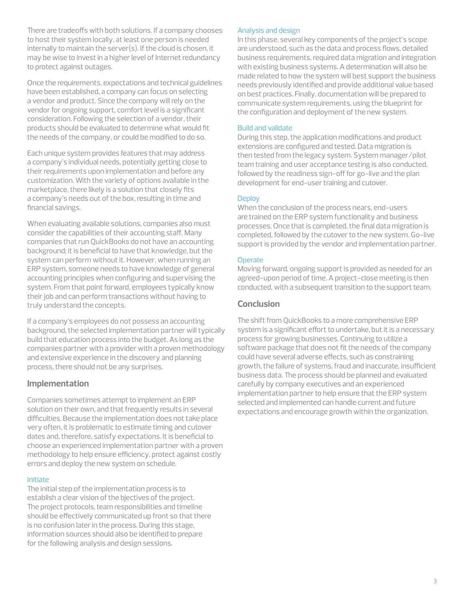There are tradeoffs with both solutions. If a company chooses to host their system locally, at least one person is needed internally to maintain the server(s). If the cloud is chosen, it may be wise to invest in a higher level of Internet redundancy to protect against outages.

Once the requirements, expectations and technical guidelines have been established, a company can focus on selecting a vendor and product. Since the company will rely on the vendor for ongoing support, comfort level is a significant consideration. Following the selection of a vendor, their products should be evaluated to determine what would fit the needs of the company, or could be modified to do so.

Each unique system provides features that may address a company's individual needs, potentially getting close to their requirements upon implementation and before any customization. With the variety of options available in the marketplace, there likely is a solution that closely fits a company's needs out of the box, resulting in time and financial savings.

When evaluating available solutions, companies also must consider the capabilities of their accounting staff. Many companies that run QuickBooks do not have an accounting background; it is beneficial to have that knowledge, but the system can perform without it. However, when running an ERP system, someone needs to have knowledge of general accounting principles when configuring and supervising the system. From that point forward, employees typically know their job and can perform transactions without having to truly understand the concepts.

If a company's employees do not possess an accounting background, the selected implementation partner will typically build that education process into the budget. As long as the companies partner with a provider with a proven methodology and extensive experience in the discovery and planning process, there should not be any surprises.

## **Implementation**

Companies sometimes attempt to implement an ERP solution on their own, and that frequently results in several difficulties. Because the implementation does not take place very often, it is problematic to estimate timing and cutover dates and, therefore, satisfy expectations. It is beneficial to choose an experienced implementation partner with a proven methodology to help ensure efficiency, protect against costly errors and deploy the new system on schedule.

#### Initiate

The initial step of the implementation process is to establish a clear vision of the bjectives of the project. The project protocols, team responsibilities and timeline should be effectively communicated up front so that there is no confusion later in the process. During this stage, information sources should also be identified to prepare for the following analysis and design sessions.

#### Analysis and design

In this phase, several key components of the project's scope are understood, such as the data and process flows, detailed business requirements, required data migration and integration with existing business systems. A determination will also be made related to how the system will best support the business needs previously identified and provide additional value based on best practices. Finally, documentation will be prepared to communicate system requirements, using the blueprint for the configuration and deployment of the new system.

#### Build and validate

During this step, the application modifications and product extensions are configured and tested. Data migration is then tested from the legacy system. System manager/pilot team training and user acceptance testing is also conducted, followed by the readiness sign-off for go-live and the plan development for end-user training and cutover.

#### **Deploy**

When the conclusion of the process nears, end-users are trained on the ERP system functionality and business processes. Once that is completed, the final data migration is completed, followed by the cutover to the new system. Go-live support is provided by the vendor and implementation partner.

#### **Operate**

Moving forward, ongoing support is provided as needed for an agreed-upon period of time. A project-close meeting is then conducted, with a subsequent transition to the support team.

## **Conclusion**

The shift from QuickBooks to a more comprehensive ERP system is a significant effort to undertake, but it is a necessary process for growing businesses. Continuing to utilize a software package that does not fit the needs of the company could have several adverse effects, such as constraining growth, the failure of systems, fraud and inaccurate, insufficient business data. The process should be planned and evaluated carefully by company executives and an experienced implementation partner to help ensure that the ERP system selected and implemented can handle current and future expectations and encourage growth within the organization.